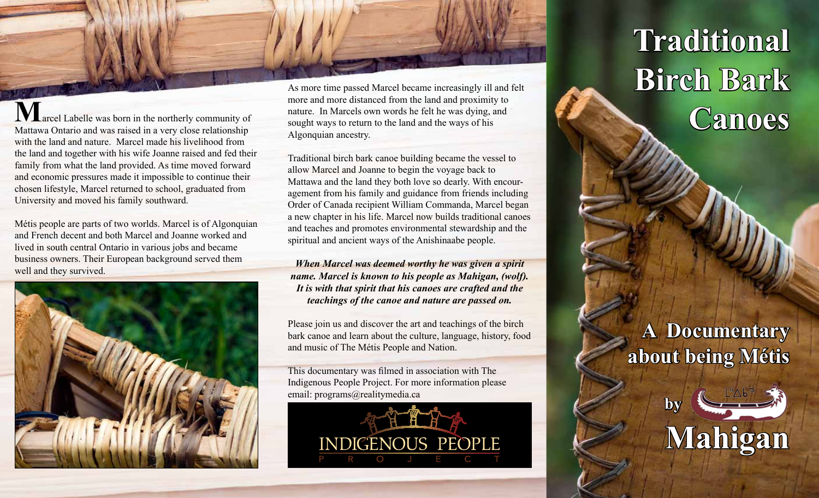**M**arcel Labelle was born in the northerly community of Mattawa Ontario and was raised in a very close relationship with the land and nature. Marcel made his livelihood from the land and together with his wife Joanne raised and fed their family from what the land provided. As time moved forward and economic pressures made it impossible to continue their chosen lifestyle, Marcel returned to school, graduated from University and moved his family southward.

Métis people are parts of two worlds. Marcel is of Algonquian and French decent and both Marcel and Joanne worked and lived in south central Ontario in various jobs and became business owners. Their European background served them well and they survived.



As more time passed Marcel became increasingly ill and felt more and more distanced from the land and proximity to nature. In Marcels own words he felt he was dying, and sought ways to return to the land and the ways of his Algonquian ancestry.

Traditional birch bark canoe building became the vessel to allow Marcel and Joanne to begin the voyage back to Mattawa and the land they both love so dearly. With encouragement from his family and guidance from friends including Order of Canada recipient William Commanda, Marcel began a new chapter in his life. Marcel now builds traditional canoes and teaches and promotes environmental stewardship and the spiritual and ancient ways of the Anishinaabe people.

*When Marcel was deemed worthy he was given a spirit name. Marcel is known to his people as Mahigan, (wolf). It is with that spirit that his canoes are crafted and the teachings of the canoe and nature are passed on.*

Please join us and discover the art and teachings of the birch bark canoe and learn about the culture, language, history, food and music of The Métis People and Nation.

This documentary was filmed in association with The Indigenous People Project. For more information please email: programs@realitymedia.ca



# **Traditional Birch Bark Canoes**

### **A Documentary about being Métis**